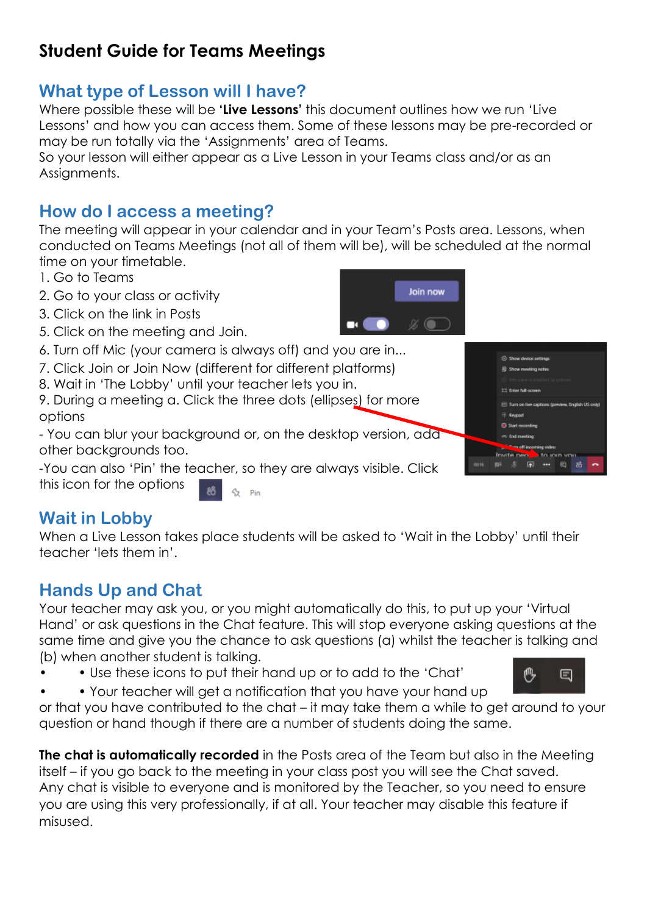# **Student Guide for Teams Meetings**

# **What type of Lesson will I have?**

Where possible these will be **'Live Lessons'** this document outlines how we run 'Live Lessons' and how you can access them. Some of these lessons may be pre-recorded or may be run totally via the 'Assignments' area of Teams.

So your lesson will either appear as a Live Lesson in your Teams class and/or as an Assignments.

# **How do I access a meeting?**

The meeting will appear in your calendar and in your Team's Posts area. Lessons, when conducted on Teams Meetings (not all of them will be), will be scheduled at the normal time on your timetable.

- 1. Go to Teams
- 2. Go to your class or activity
- 3. Click on the link in Posts
- 5. Click on the meeting and Join.
- 6. Turn off Mic (your camera is always off) and you are in...
- 7. Click Join or Join Now (different for different platforms)
- 8. Wait in 'The Lobby' until your teacher lets you in.
- 9. During a meeting a. Click the three dots (ellipses) for more options

- You can blur your background or, on the desktop version, add other backgrounds too.

-You can also 'Pin' the teacher, so they are always visible. Click this icon for the options Pin

### **Wait in Lobby**

When a Live Lesson takes place students will be asked to 'Wait in the Lobby' until their teacher 'lets them in'.

## **Hands Up and Chat**

Your teacher may ask you, or you might automatically do this, to put up your 'Virtual Hand' or ask questions in the Chat feature. This will stop everyone asking questions at the same time and give you the chance to ask questions (a) whilst the teacher is talking and (b) when another student is talking.

• Use these icons to put their hand up or to add to the 'Chat'



• • Your teacher will get a notification that you have your hand up or that you have contributed to the chat – it may take them a while to get around to your question or hand though if there are a number of students doing the same.

**The chat is automatically recorded** in the Posts area of the Team but also in the Meeting itself – if you go back to the meeting in your class post you will see the Chat saved. Any chat is visible to everyone and is monitored by the Teacher, so you need to ensure you are using this very professionally, if at all. Your teacher may disable this feature if misused.